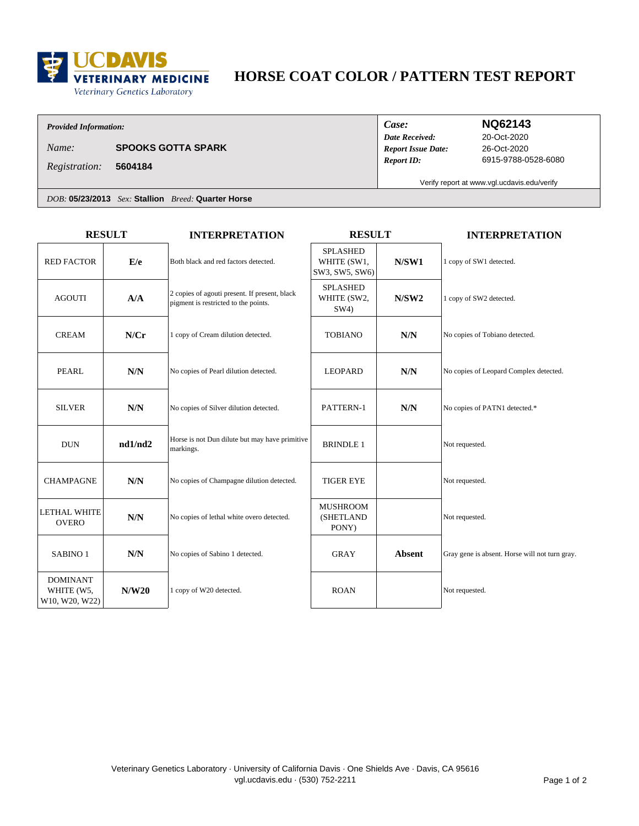

# HORSE COAT COLOR / PATTERN TEST REPORT

### **Provided Information:**

**SPOOKS GOTTA SPARK** Name:

5604184 Registration:

Case: **Date Received: Report Issue Date: Report ID:** 

## **NQ62143**

20-Oct-2020 26-Oct-2020 6915-9788-0528-6080

Verify report at www.vgl.ucdavis.edu/verify

DOB: 05/23/2013 Sex: Stallion Breed: Quarter Horse

| <b>RESULT</b>                                   |         | <b>INTERPRETATION</b>                                                                 | <b>RESULT</b>                                    |               | <b>INTERPRETATION</b>                          |
|-------------------------------------------------|---------|---------------------------------------------------------------------------------------|--------------------------------------------------|---------------|------------------------------------------------|
| <b>RED FACTOR</b>                               | E/e     | Both black and red factors detected.                                                  | <b>SPLASHED</b><br>WHITE (SW1,<br>SW3, SW5, SW6) | N/SW1         | 1 copy of SW1 detected.                        |
| <b>AGOUTI</b>                                   | A/A     | 2 copies of agouti present. If present, black<br>pigment is restricted to the points. | <b>SPLASHED</b><br>WHITE (SW2,<br>SW4)           | N/SW2         | 1 copy of SW2 detected.                        |
| <b>CREAM</b>                                    | N/Cr    | 1 copy of Cream dilution detected.                                                    | <b>TOBIANO</b>                                   | N/N           | No copies of Tobiano detected.                 |
| <b>PEARL</b>                                    | N/N     | No copies of Pearl dilution detected.                                                 | <b>LEOPARD</b>                                   | N/N           | No copies of Leopard Complex detected.         |
| <b>SILVER</b>                                   | N/N     | No copies of Silver dilution detected.                                                | PATTERN-1                                        | N/N           | No copies of PATN1 detected.*                  |
| <b>DUN</b>                                      | nd1/nd2 | Horse is not Dun dilute but may have primitive<br>markings.                           | <b>BRINDLE 1</b>                                 |               | Not requested.                                 |
| <b>CHAMPAGNE</b>                                | N/N     | No copies of Champagne dilution detected.                                             | <b>TIGER EYE</b>                                 |               | Not requested.                                 |
| <b>LETHAL WHITE</b><br><b>OVERO</b>             | N/N     | No copies of lethal white overo detected.                                             | <b>MUSHROOM</b><br>(SHETLAND<br>PONY)            |               | Not requested.                                 |
| SABINO <sub>1</sub>                             | N/N     | No copies of Sabino 1 detected.                                                       | GRAY                                             | <b>Absent</b> | Gray gene is absent. Horse will not turn gray. |
| <b>DOMINANT</b><br>WHITE (W5,<br>W10, W20, W22) | N/W20   | 1 copy of W20 detected.                                                               | <b>ROAN</b>                                      |               | Not requested.                                 |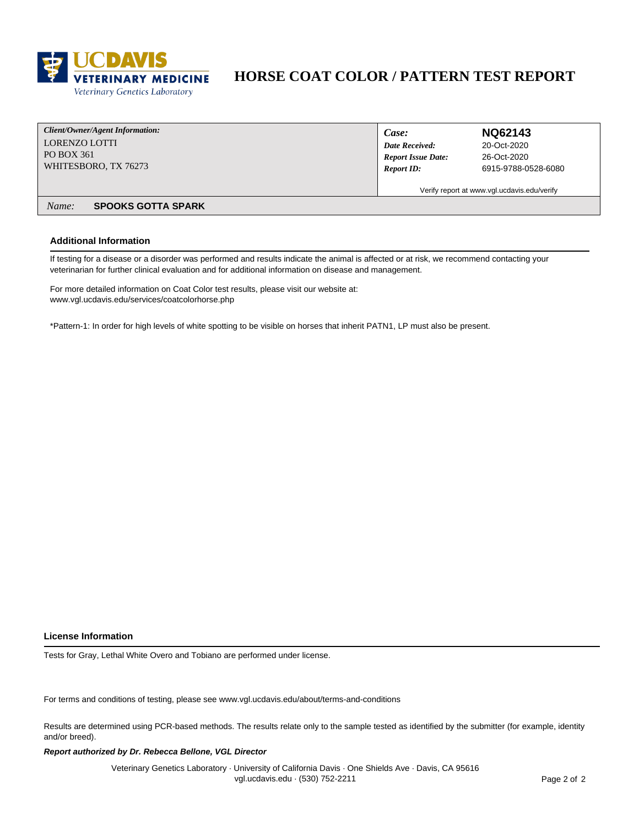

## **HORSE COAT COLOR / PATTERN TEST REPORT**

| Client/Owner/Agent Information:    | Case:                     | NQ62143                                     |
|------------------------------------|---------------------------|---------------------------------------------|
| LORENZO LOTTI                      | Date Received:            | 20-Oct-2020                                 |
| PO BOX 361                         | <b>Report Issue Date:</b> | 26-Oct-2020                                 |
| WHITESBORO, TX 76273               | <b>Report ID:</b>         | 6915-9788-0528-6080                         |
|                                    |                           | Verify report at www.vgl.ucdavis.edu/verify |
| <b>SPOOKS GOTTA SPARK</b><br>Name: |                           |                                             |

### **Additional Information**

If testing for a disease or a disorder was performed and results indicate the animal is affected or at risk, we recommend contacting your veterinarian for further clinical evaluation and for additional information on disease and management.

For more detailed information on Coat Color test results, please visit our website at: www.vgl.ucdavis.edu/services/coatcolorhorse.php

\*Pattern-1: In order for high levels of white spotting to be visible on horses that inherit PATN1, LP must also be present.

### **License Information**

Tests for Gray, Lethal White Overo and Tobiano are performed under license.

For terms and conditions of testing, please see www.vgl.ucdavis.edu/about/terms-and-conditions

Results are determined using PCR-based methods. The results relate only to the sample tested as identified by the submitter (for example, identity and/or breed).

### Report authorized by Dr. Rebecca Bellone, VGL Director

Veterinary Genetics Laboratory · University of California Davis · One Shields Ave · Davis, CA 95616 vgl.ucdavis.edu - (530) 752-2211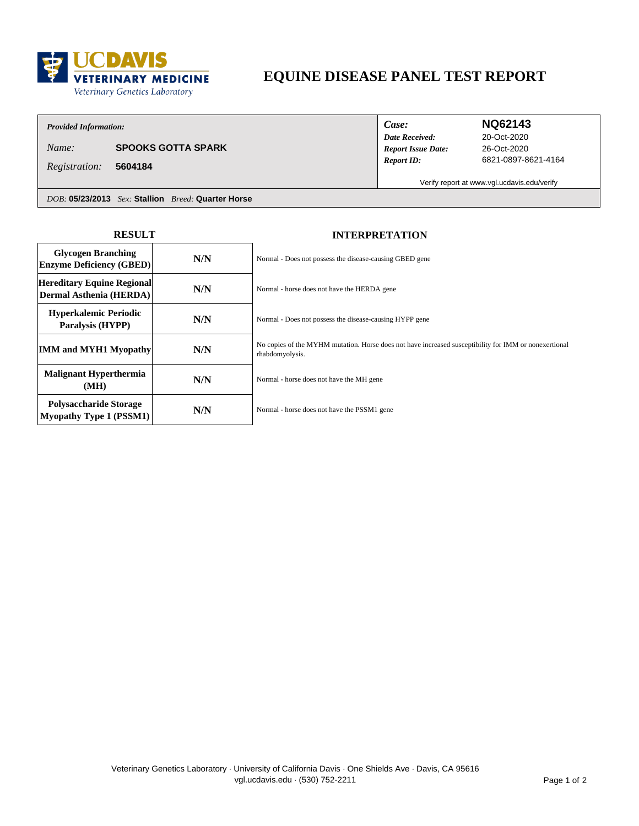

# EQUINE DISEASE PANEL TEST REPORT

### **Provided Information:**

**SPOOKS GOTTA SPARK** Name:

5604184 Registration:

Case: **Date Received: Report Issue Date: Report ID:** 

### **NQ62143**

20-Oct-2020 26-Oct-2020 6821-0897-8621-4164

Verify report at www.vgl.ucdavis.edu/verify

DOB: 05/23/2013 Sex: Stallion Breed: Quarter Horse

| <b>RESULT</b>                                                   |     | <b>INTERPRETATION</b>                                                                                                    |  |  |
|-----------------------------------------------------------------|-----|--------------------------------------------------------------------------------------------------------------------------|--|--|
| <b>Glycogen Branching</b><br><b>Enzyme Deficiency (GBED)</b>    | N/N | Normal - Does not possess the disease-causing GBED gene                                                                  |  |  |
| Hereditary Equine Regional<br>Dermal Asthenia (HERDA)           | N/N | Normal - horse does not have the HERDA gene                                                                              |  |  |
| <b>Hyperkalemic Periodic</b><br>Paralysis (HYPP)                | N/N | Normal - Does not possess the disease-causing HYPP gene                                                                  |  |  |
| <b>IMM and MYH1 Myopathy</b>                                    | N/N | No copies of the MYHM mutation. Horse does not have increased susceptibility for IMM or nonexertional<br>rhabdomyolysis. |  |  |
| <b>Malignant Hyperthermia</b><br>(MH)                           | N/N | Normal - horse does not have the MH gene                                                                                 |  |  |
| <b>Polysaccharide Storage</b><br><b>Myopathy Type 1 (PSSM1)</b> | N/N | Normal - horse does not have the PSSM1 gene                                                                              |  |  |